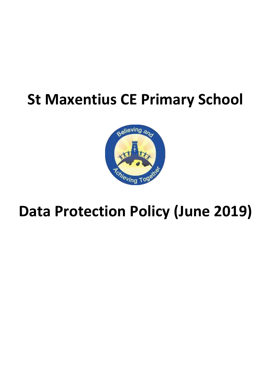# **St Maxentius CE Primary School**



## **Data Protection Policy (June 2019)**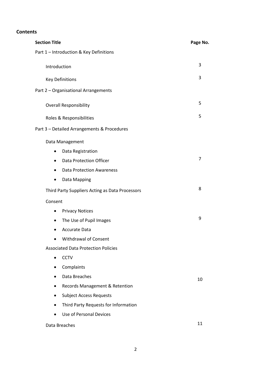## **Contents**

| <b>Section Title</b>                              | Page No. |
|---------------------------------------------------|----------|
| Part 1 - Introduction & Key Definitions           |          |
| Introduction                                      | 3        |
|                                                   |          |
| <b>Key Definitions</b>                            | 3        |
| Part 2 - Organisational Arrangements              |          |
| <b>Overall Responsibility</b>                     | 5        |
| Roles & Responsibilities                          | 5        |
| Part 3 - Detailed Arrangements & Procedures       |          |
| Data Management                                   |          |
| Data Registration<br>$\bullet$                    |          |
| <b>Data Protection Officer</b><br>$\bullet$       | 7        |
| <b>Data Protection Awareness</b><br>$\bullet$     |          |
| Data Mapping<br>$\bullet$                         |          |
| Third Party Suppliers Acting as Data Processors   | 8        |
| Consent                                           |          |
| <b>Privacy Notices</b><br>$\bullet$               |          |
| The Use of Pupil Images<br>$\bullet$              | 9        |
| <b>Accurate Data</b>                              |          |
| <b>Withdrawal of Consent</b>                      |          |
| <b>Associated Data Protection Policies</b>        |          |
| <b>CCTV</b><br>$\bullet$                          |          |
| Complaints                                        |          |
| Data Breaches                                     | 10       |
| Records Management & Retention                    |          |
| <b>Subject Access Requests</b>                    |          |
| Third Party Requests for Information<br>$\bullet$ |          |
| <b>Use of Personal Devices</b>                    |          |
| Data Breaches                                     | 11       |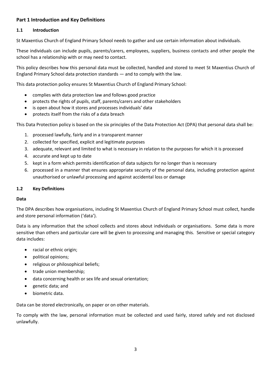## **Part 1 Introduction and Key Definitions**

#### **1.1 Introduction**

St Maxentius Church of England Primary School needs to gather and use certain information about individuals.

These individuals can include pupils, parents/carers, employees, suppliers, business contacts and other people the school has a relationship with or may need to contact.

This policy describes how this personal data must be collected, handled and stored to meet St Maxentius Church of England Primary School data protection standards — and to comply with the law.

This data protection policy ensures St Maxentius Church of England Primary School:

- complies with data protection law and follows good practice
- protects the rights of pupils, staff, parents/carers and other stakeholders
- is open about how it stores and processes individuals' data
- protects itself from the risks of a data breach

This Data Protection policy is based on the six principles of the Data Protection Act (DPA) that personal data shall be:

- 1. processed lawfully, fairly and in a transparent manner
- 2. collected for specified, explicit and legitimate purposes
- 3. adequate, relevant and limited to what is necessary in relation to the purposes for which it is processed
- 4. accurate and kept up to date
- 5. kept in a form which permits identification of data subjects for no longer than is necessary
- 6. processed in a manner that ensures appropriate security of the personal data, including protection against unauthorised or unlawful processing and against accidental loss or damage

#### **1.2 Key Definitions**

#### **Data**

The DPA describes how organisations, including St Maxentius Church of England Primary School must collect, handle and store personal information ('data').

Data is any information that the school collects and stores about individuals or organisations. Some data is more sensitive than others and particular care will be given to processing and managing this. Sensitive or special category data includes:

- racial or ethnic origin;
- political opinions;
- religious or philosophical beliefs;
- trade union membership;
- data concerning health or sex life and sexual orientation;
- genetic data; and
- biometric data.

Data can be stored electronically, on paper or on other materials.

To comply with the law, personal information must be collected and used fairly, stored safely and not disclosed unlawfully.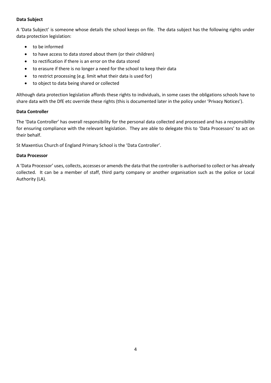#### **Data Subject**

A 'Data Subject' is someone whose details the school keeps on file. The data subject has the following rights under data protection legislation:

- to be informed
- to have access to data stored about them (or their children)
- to rectification if there is an error on the data stored
- to erasure if there is no longer a need for the school to keep their data
- to restrict processing (e.g. limit what their data is used for)
- to object to data being shared or collected

Although data protection legislation affords these rights to individuals, in some cases the obligations schools have to share data with the DfE etc override these rights (this is documented later in the policy under 'Privacy Notices').

#### **Data Controller**

The 'Data Controller' has overall responsibility for the personal data collected and processed and has a responsibility for ensuring compliance with the relevant legislation. They are able to delegate this to 'Data Processors' to act on their behalf.

St Maxentius Church of England Primary School is the 'Data Controller'.

#### **Data Processor**

A 'Data Processor' uses, collects, accesses or amends the data that the controller is authorised to collect or has already collected. It can be a member of staff, third party company or another organisation such as the police or Local Authority (LA).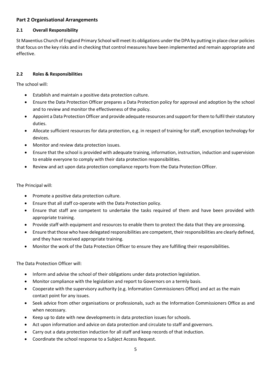## **Part 2 Organisational Arrangements**

## **2.1 Overall Responsibility**

St Maxentius Church of England Primary School will meet its obligations under the DPA by putting in place clear policies that focus on the key risks and in checking that control measures have been implemented and remain appropriate and effective.

## **2.2 Roles & Responsibilities**

The school will:

- Establish and maintain a positive data protection culture.
- Ensure the Data Protection Officer prepares a Data Protection policy for approval and adoption by the school and to review and monitor the effectiveness of the policy.
- Appoint a Data Protection Officer and provide adequate resources and support for them to fulfil their statutory duties.
- Allocate sufficient resources for data protection, e.g. in respect of training for staff, encryption technology for devices.
- Monitor and review data protection issues.
- Ensure that the school is provided with adequate training, information, instruction, induction and supervision to enable everyone to comply with their data protection responsibilities.
- Review and act upon data protection compliance reports from the Data Protection Officer.

The Principal will:

- Promote a positive data protection culture.
- Ensure that all staff co-operate with the Data Protection policy.
- Ensure that staff are competent to undertake the tasks required of them and have been provided with appropriate training.
- Provide staff with equipment and resources to enable them to protect the data that they are processing.
- Ensure that those who have delegated responsibilities are competent, their responsibilities are clearly defined, and they have received appropriate training.
- Monitor the work of the Data Protection Officer to ensure they are fulfilling their responsibilities.

The Data Protection Officer will:

- Inform and advise the school of their obligations under data protection legislation.
- Monitor compliance with the legislation and report to Governors on a termly basis.
- Cooperate with the supervisory authority (e.g. Information Commissioners Office) and act as the main contact point for any issues.
- Seek advice from other organisations or professionals, such as the Information Commissioners Office as and when necessary.
- Keep up to date with new developments in data protection issues for schools.
- Act upon information and advice on data protection and circulate to staff and governors.
- Carry out a data protection induction for all staff and keep records of that induction.
- Coordinate the school response to a Subject Access Request.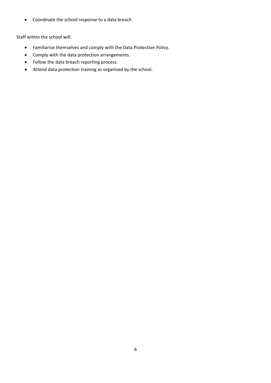Coordinate the school response to a data breach

Staff within the school will:

- Familiarise themselves and comply with the Data Protection Policy.
- Comply with the data protection arrangements.
- Follow the data breach reporting process.
- Attend data protection training as organised by the school.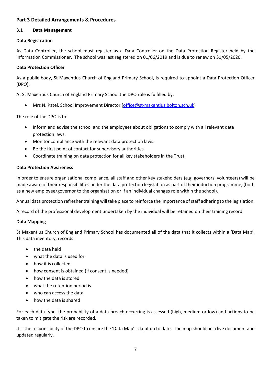## **Part 3 Detailed Arrangements & Procedures**

#### **3.1 Data Management**

#### **Data Registration**

As Data Controller, the school must register as a Data Controller on the Data Protection Register held by the Information Commissioner. The school was last registered on 01/06/2019 and is due to renew on 31/05/2020.

#### **Data Protection Officer**

As a public body, St Maxentius Church of England Primary School, is required to appoint a Data Protection Officer (DPO).

At St Maxentius Church of England Primary School the DPO role is fulfilled by:

Mrs N. Patel, School Improvement Director [\(office@st-maxentius.bolton.sch.uk\)](mailto:office@st-maxentius.bolton.sch.uk)

The role of the DPO is to:

- Inform and advise the school and the employees about obligations to comply with all relevant data protection laws.
- Monitor compliance with the relevant data protection laws.
- Be the first point of contact for supervisory authorities.
- Coordinate training on data protection for all key stakeholders in the Trust.

#### **Data Protection Awareness**

In order to ensure organisational compliance, all staff and other key stakeholders (e.g. governors, volunteers) will be made aware of their responsibilities under the data protection legislation as part of their induction programme, (both as a new employee/governor to the organisation or if an individual changes role within the school).

Annual data protection refresher training will take place to reinforce the importance of staff adhering to the legislation.

A record of the professional development undertaken by the individual will be retained on their training record.

#### **Data Mapping**

St Maxentius Church of England Primary School has documented all of the data that it collects within a 'Data Map'. This data inventory, records:

- the data held
- what the data is used for
- how it is collected
- how consent is obtained (if consent is needed)
- how the data is stored
- what the retention period is
- who can access the data
- how the data is shared

For each data type, the probability of a data breach occurring is assessed (high, medium or low) and actions to be taken to mitigate the risk are recorded.

It is the responsibility of the DPO to ensure the 'Data Map' is kept up to date. The map should be a live document and updated regularly.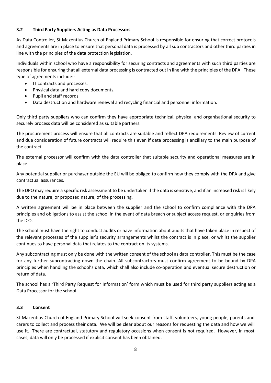#### **3.2 Third Party Suppliers Acting as Data Processors**

As Data Controller, St Maxentius Church of England Primary School is responsible for ensuring that correct protocols and agreements are in place to ensure that personal data is processed by all sub contractors and other third parties in line with the principles of the data protection legislation.

Individuals within school who have a responsibility for securing contracts and agreements with such third parties are responsible for ensuring that all external data processing is contracted out in line with the principles of the DPA. These type of agreements include:-

- IT contracts and processes.
- Physical data and hard copy documents.
- Pupil and staff records
- Data destruction and hardware renewal and recycling financial and personnel information.

Only third party suppliers who can confirm they have appropriate technical, physical and organisational security to securely process data will be considered as suitable partners.

The procurement process will ensure that all contracts are suitable and reflect DPA requirements. Review of current and due consideration of future contracts will require this even if data processing is ancillary to the main purpose of the contract.

The external processor will confirm with the data controller that suitable security and operational measures are in place.

Any potential supplier or purchaser outside the EU will be obliged to confirm how they comply with the DPA and give contractual assurances.

The DPO may require a specific risk assessment to be undertaken if the data is sensitive, and if an increased risk is likely due to the nature, or proposed nature, of the processing.

A written agreement will be in place between the supplier and the school to confirm compliance with the DPA principles and obligations to assist the school in the event of data breach or subject access request, or enquiries from the ICO.

The school must have the right to conduct audits or have information about audits that have taken place in respect of the relevant processes of the supplier's security arrangements whilst the contract is in place, or whilst the supplier continues to have personal data that relates to the contract on its systems.

Any subcontracting must only be done with the written consent of the school as data controller. This must be the case for any further subcontracting down the chain. All subcontractors must confirm agreement to be bound by DPA principles when handling the school's data, which shall also include co-operation and eventual secure destruction or return of data.

The school has a 'Third Party Request for Information' form which must be used for third party suppliers acting as a Data Processor for the school.

## **3.3 Consent**

St Maxentius Church of England Primary School will seek consent from staff, volunteers, young people, parents and carers to collect and process their data. We will be clear about our reasons for requesting the data and how we will use it. There are contractual, statutory and regulatory occasions when consent is not required. However, in most cases, data will only be processed if explicit consent has been obtained.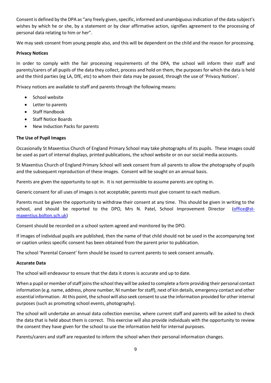Consent is defined by the DPA as "any freely given, specific, informed and unambiguous indication of the data subject's wishes by which he or she, by a statement or by clear affirmative action, signifies agreement to the processing of personal data relating to him or her".

We may seek consent from young people also, and this will be dependent on the child and the reason for processing.

#### **Privacy Notices**

In order to comply with the fair processing requirements of the DPA, the school will inform their staff and parents/carers of all pupils of the data they collect, process and hold on them, the purposes for which the data is held and the third parties (eg LA, DfE, etc) to whom their data may be passed, through the use of 'Privacy Notices'.

Privacy notices are available to staff and parents through the following means:

- School website
- Letter to parents
- Staff Handbook
- Staff Notice Boards
- New Induction Packs for parents

#### **The Use of Pupil Images**

Occasionally St Maxentius Church of England Primary School may take photographs of its pupils. These images could be used as part of internal displays, printed publications, the school website or on our social media accounts.

St Maxentius Church of England Primary School will seek consent from all parents to allow the photography of pupils and the subsequent reproduction of these images. Consent will be sought on an annual basis.

Parents are given the opportunity to opt in. It is not permissible to assume parents are opting in.

Generic consent for all uses of images is not acceptable; parents must give consent to each medium.

Parents must be given the opportunity to withdraw their consent at any time. This should be given in writing to the school, and should be reported to the DPO, Mrs N. Patel, School Improvement Director [\(office@st](mailto:office@st-maxentius.bolton.sch.uk)[maxentius.bolton.sch.uk\)](mailto:office@st-maxentius.bolton.sch.uk)

Consent should be recorded on a school system agreed and monitored by the DPO.

If images of individual pupils are published, then the name of that child should not be used in the accompanying text or caption unless specific consent has been obtained from the parent prior to publication.

The school 'Parental Consent' form should be issued to current parents to seek consent annually.

#### **Accurate Data**

The school will endeavour to ensure that the data it stores is accurate and up to date.

When a pupil or member of staff joins the school they will be asked to complete a form providing their personal contact information (e.g. name, address, phone number, NI number for staff), next of kin details, emergency contact and other essential information. At this point, the school will also seek consent to use the information provided for other internal purposes (such as promoting school events, photography).

The school will undertake an annual data collection exercise, where current staff and parents will be asked to check the data that is held about them is correct. This exercise will also provide individuals with the opportunity to review the consent they have given for the school to use the information held for internal purposes.

Parents/carers and staff are requested to inform the school when their personal information changes.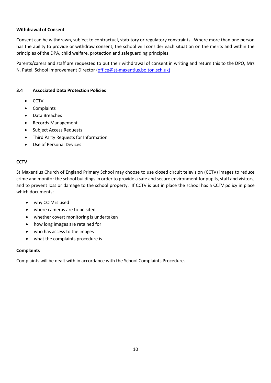#### **Withdrawal of Consent**

Consent can be withdrawn, subject to contractual, statutory or regulatory constraints. Where more than one person has the ability to provide or withdraw consent, the school will consider each situation on the merits and within the principles of the DPA, child welfare, protection and safeguarding principles.

Parents/carers and staff are requested to put their withdrawal of consent in writing and return this to the DPO, Mrs N. Patel, School Improvement Director [\(office@st-maxentius.bolton.sch.uk\)](mailto:office@bishop-bridgeman.bolton.sch.uk))

#### **3.4 Associated Data Protection Policies**

- CCTV
- Complaints
- Data Breaches
- Records Management
- Subject Access Requests
- Third Party Requests for Information
- Use of Personal Devices

#### **CCTV**

St Maxentius Church of England Primary School may choose to use closed circuit television (CCTV) images to reduce crime and monitor the school buildings in order to provide a safe and secure environment for pupils, staff and visitors, and to prevent loss or damage to the school property. If CCTV is put in place the school has a CCTV policy in place which documents:

- why CCTV is used
- where cameras are to be sited
- whether covert monitoring is undertaken
- how long images are retained for
- who has access to the images
- what the complaints procedure is

#### **Complaints**

Complaints will be dealt with in accordance with the School Complaints Procedure.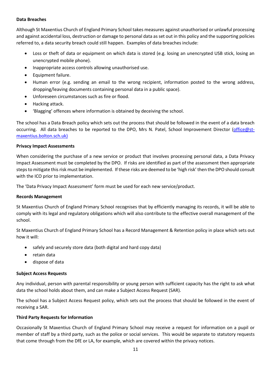#### **Data Breaches**

Although St Maxentius Church of England Primary School takes measures against unauthorised or unlawful processing and against accidental loss, destruction or damage to personal data as set out in this policy and the supporting policies referred to, a data security breach could still happen. Examples of data breaches include:

- Loss or theft of data or equipment on which data is stored (e.g. losing an unencrypted USB stick, losing an unencrypted mobile phone).
- Inappropriate access controls allowing unauthorised use.
- Equipment failure.
- Human error (e.g. sending an email to the wrong recipient, information posted to the wrong address, dropping/leaving documents containing personal data in a public space).
- Unforeseen circumstances such as fire or flood.
- Hacking attack.
- 'Blagging' offences where information is obtained by deceiving the school.

The school has a Data Breach policy which sets out the process that should be followed in the event of a data breach occurring. All data breaches to be reported to the DPO, Mrs N. Patel, School Improvement Director [\(office@st](mailto:office@bishop-bridgeman.bolton.sch.uk))[maxentius.bolton.sch.uk\)](mailto:office@bishop-bridgeman.bolton.sch.uk))

#### **Privacy Impact Assessments**

When considering the purchase of a new service or product that involves processing personal data, a Data Privacy Impact Assessment must be completed by the DPO. If risks are identified as part of the assessment then appropriate steps to mitigate this risk must be implemented. If these risks are deemed to be 'high risk' then the DPO should consult with the ICO prior to implementation.

The 'Data Privacy Impact Assessment' form must be used for each new service/product.

#### **Records Management**

St Maxentius Church of England Primary School recognises that by efficiently managing its records, it will be able to comply with its legal and regulatory obligations which will also contribute to the effective overall management of the school.

St Maxentius Church of England Primary School has a Record Management & Retention policy in place which sets out how it will:

- safely and securely store data (both digital and hard copy data)
- retain data
- dispose of data

## **Subject Access Requests**

Any individual, person with parental responsibility or young person with sufficient capacity has the right to ask what data the school holds about them, and can make a Subject Access Request (SAR).

The school has a Subject Access Request policy, which sets out the process that should be followed in the event of receiving a SAR.

## **Third Party Requests for Information**

Occasionally St Maxentius Church of England Primary School may receive a request for information on a pupil or member of staff by a third party, such as the police or social services. This would be separate to statutory requests that come through from the DfE or LA, for example, which are covered within the privacy notices.